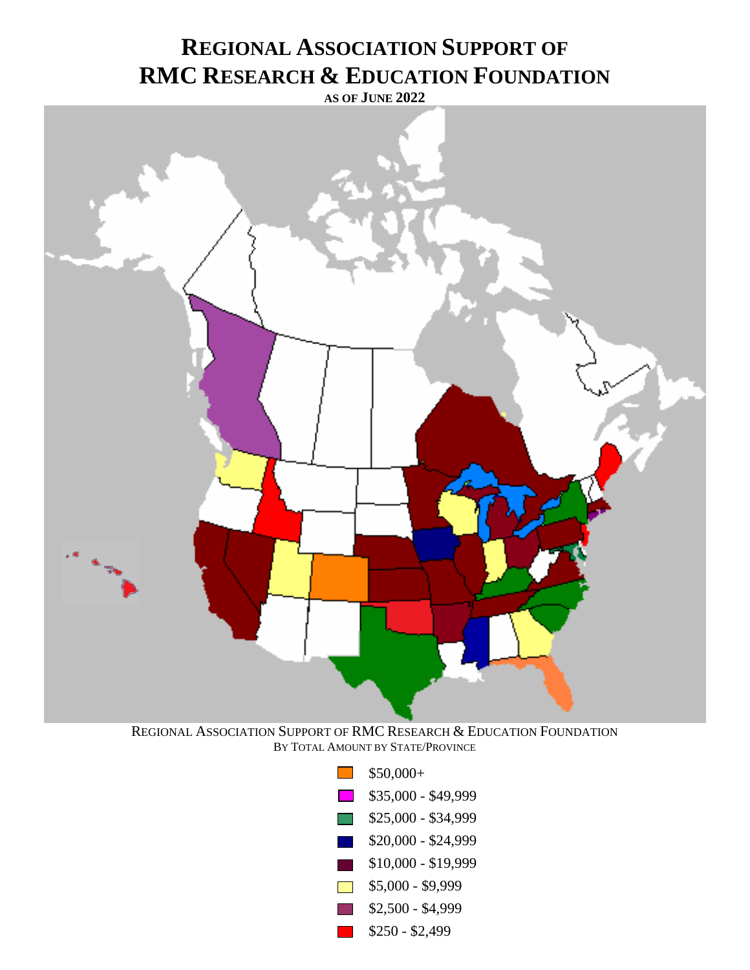## **REGIONAL ASSOCIATION SUPPORT OF RMC RESEARCH & EDUCATION FOUNDATION**

**AS OF JUNE 2022**



REGIONAL ASSOCIATION SUPPORT OF RMC RESEARCH & EDUCATION FOUNDATION BY TOTAL AMOUNT BY STATE/PROVINCE

| L. T                       | $$50,000+$          |
|----------------------------|---------------------|
| $\mathbf{L}$               | \$35,000 - \$49,999 |
| $\overline{\phantom{a}}$   | \$25,000 - \$34,999 |
| <u>ra</u>                  | \$20,000 - \$24,999 |
| $\mathcal{L}(\mathcal{L})$ | $$10,000 - $19,999$ |
| $\mathbf{I}$               | $$5,000 - $9,999$   |
| maria.                     | $$2,500 - $4,999$   |
| $\sim 10$                  | $$250 - $2,499$     |